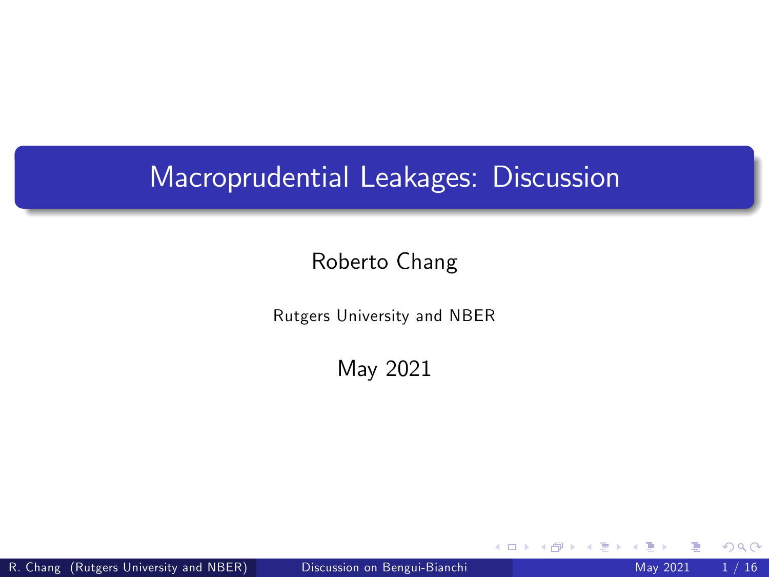# Macroprudential Leakages: Discussion

#### Roberto Chang

Rutgers University and NBER

May 2021

<span id="page-0-0"></span>4 0 8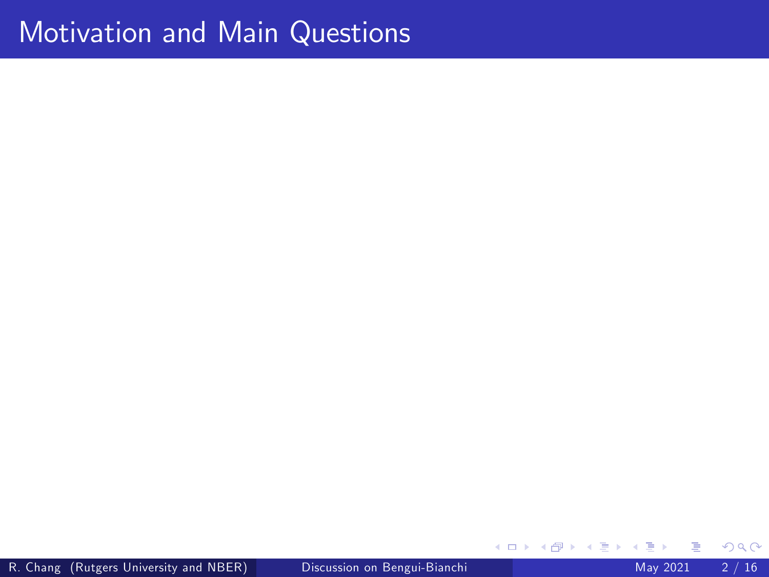R. Chang (Rutgers University and NBER) [Discussion on Bengui-Bianchi](#page-0-0) May 2021 2 / 16

**≮ロ ▶ (伊 )** 

×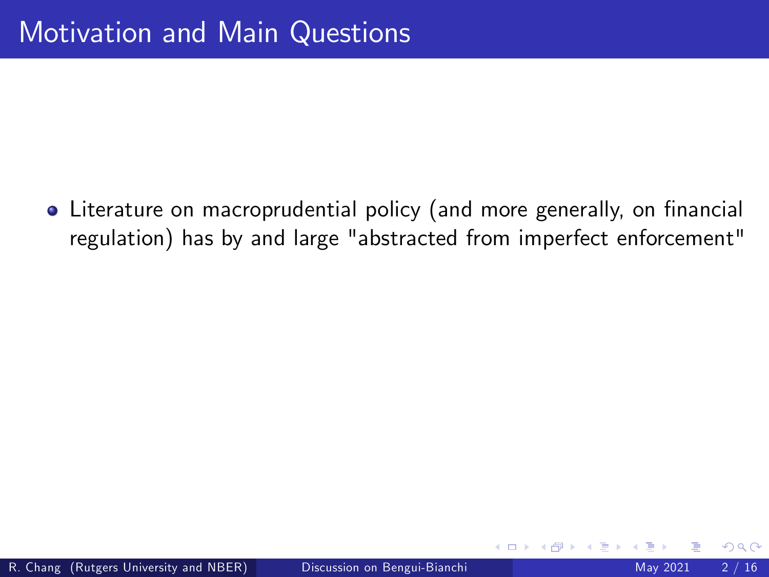• Literature on macroprudential policy (and more generally, on financial regulation) has by and large "abstracted from imperfect enforcement"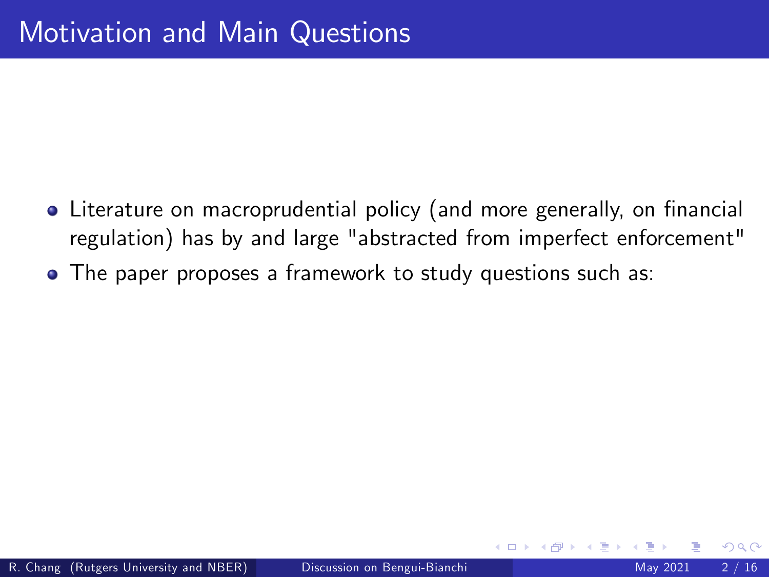- Literature on macroprudential policy (and more generally, on financial regulation) has by and large "abstracted from imperfect enforcement"
- The paper proposes a framework to study questions such as: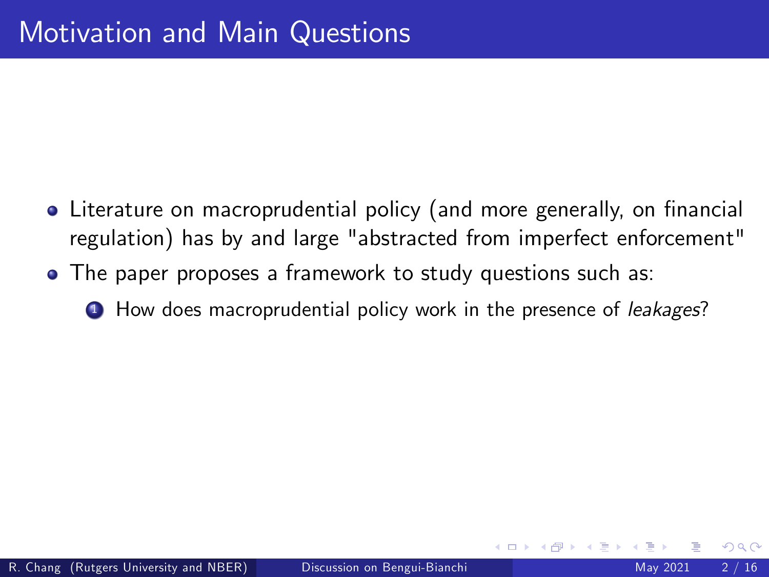- Literature on macroprudential policy (and more generally, on financial regulation) has by and large "abstracted from imperfect enforcement"
- The paper proposes a framework to study questions such as:
	- **1** How does macroprudential policy work in the presence of *leakages*?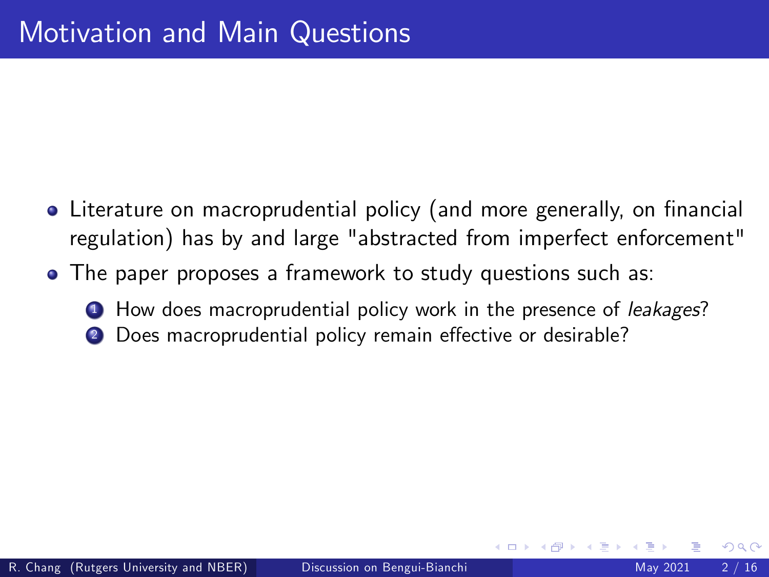- Literature on macroprudential policy (and more generally, on financial regulation) has by and large "abstracted from imperfect enforcement"
- The paper proposes a framework to study questions such as:
	- **1** How does macroprudential policy work in the presence of *leakages*?
	- Does macroprudential policy remain effective or desirable?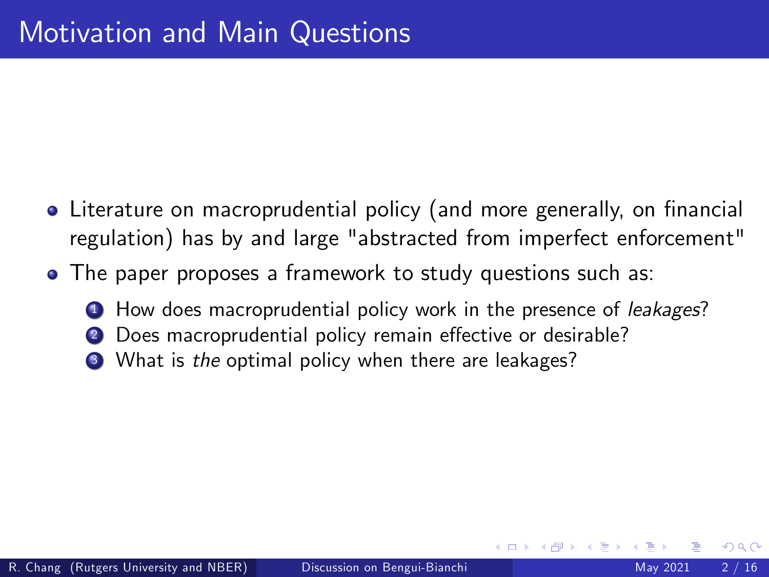- Literature on macroprudential policy (and more generally, on financial regulation) has by and large "abstracted from imperfect enforcement"
- The paper proposes a framework to study questions such as:
	- **1** How does macroprudential policy work in the presence of *leakages*?
	- Does macroprudential policy remain effective or desirable?
	- <sup>3</sup> What is the optimal policy when there are leakages?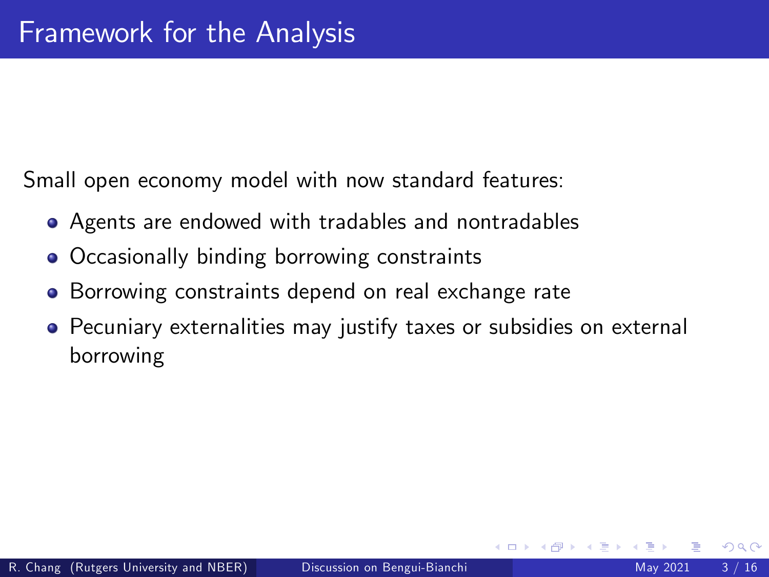Small open economy model with now standard features:

- Agents are endowed with tradables and nontradables
- Occasionally binding borrowing constraints
- **•** Borrowing constraints depend on real exchange rate
- Pecuniary externalities may justify taxes or subsidies on external borrowing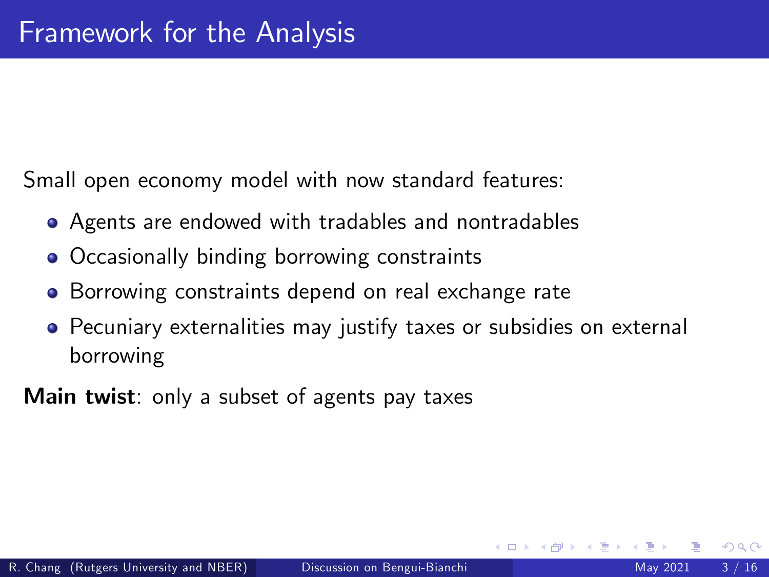Small open economy model with now standard features:

- Agents are endowed with tradables and nontradables
- Occasionally binding borrowing constraints
- **•** Borrowing constraints depend on real exchange rate
- Pecuniary externalities may justify taxes or subsidies on external borrowing

**Main twist**: only a subset of agents pay taxes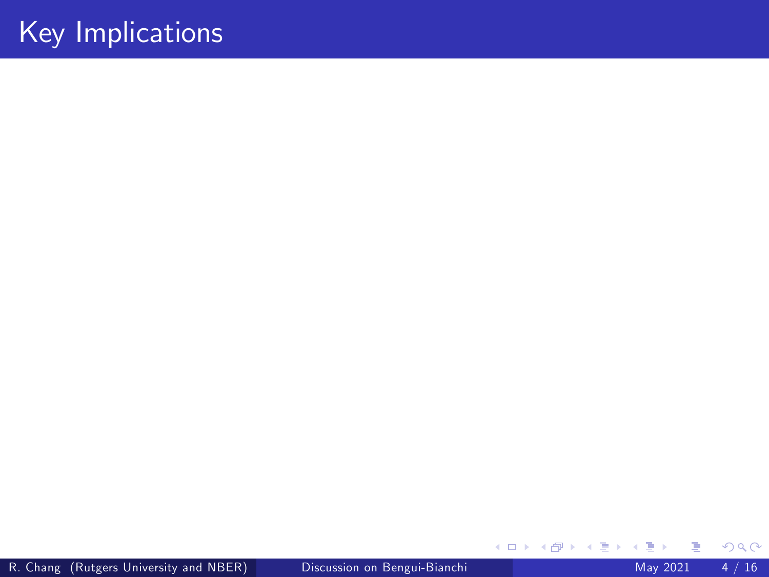R. Chang (Rutgers University and NBER) [Discussion on Bengui-Bianchi](#page-0-0) May 2021 4 / 16

Þ

メロト メ都 トメ ヨ トメ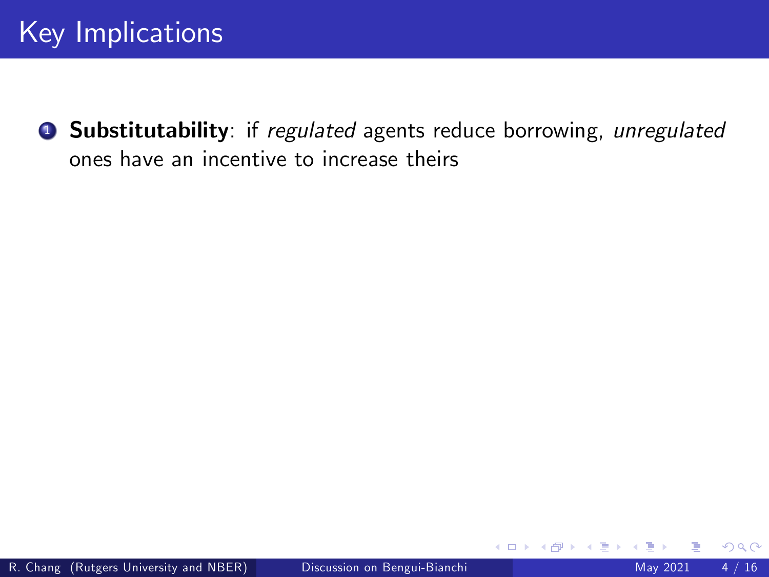**9 Substitutability**: if regulated agents reduce borrowing, unregulated ones have an incentive to increase theirs

4 0 8

 $QQ$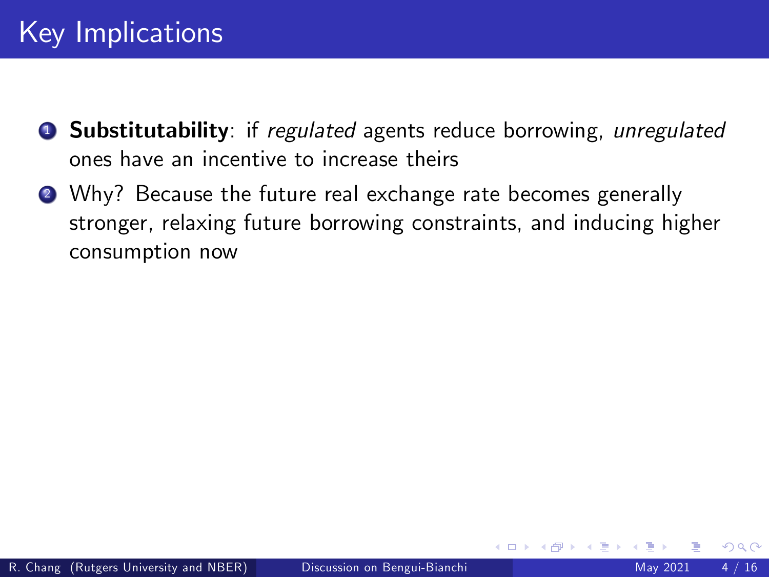- **1** Substitutability: if regulated agents reduce borrowing, unregulated ones have an incentive to increase theirs
- **2** Why? Because the future real exchange rate becomes generally stronger, relaxing future borrowing constraints, and inducing higher consumption now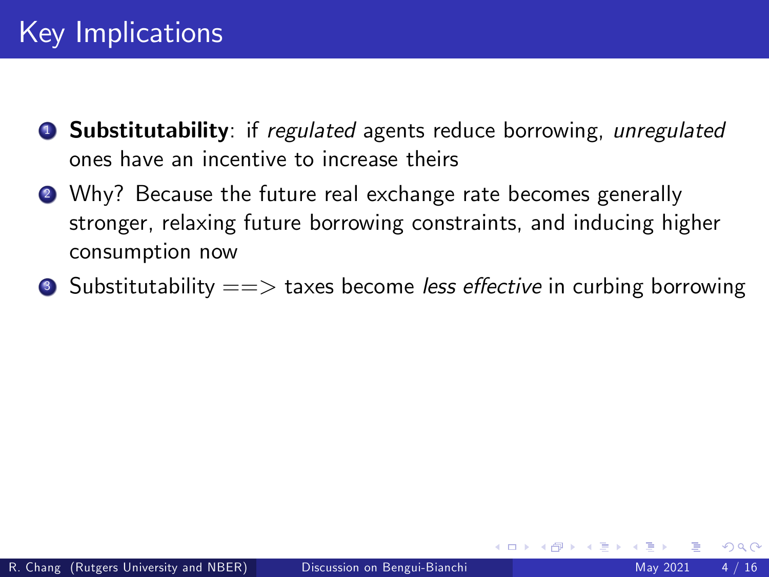- **1** Substitutability: if regulated agents reduce borrowing, unregulated ones have an incentive to increase theirs
- **2** Why? Because the future real exchange rate becomes generally stronger, relaxing future borrowing constraints, and inducing higher consumption now
- $\bullet$  Substitutability  $=\gt$  taxes become less effective in curbing borrowing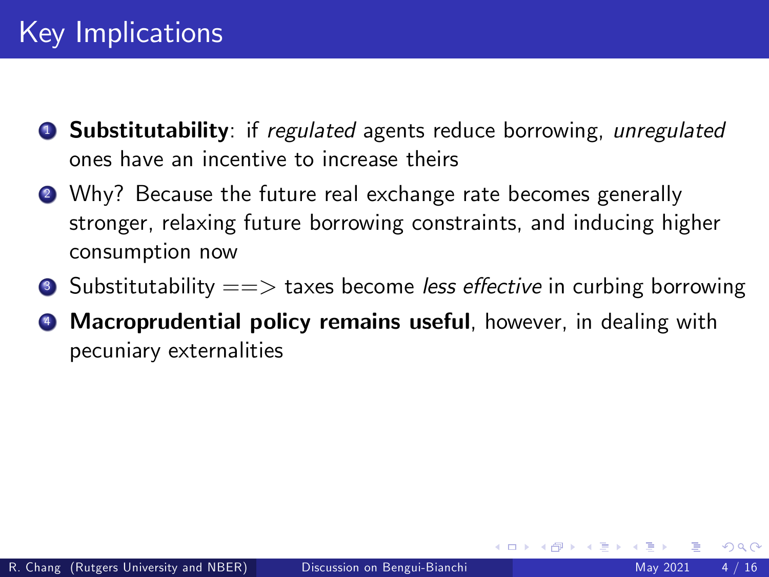- **1** Substitutability: if regulated agents reduce borrowing, unregulated ones have an incentive to increase theirs
- **2** Why? Because the future real exchange rate becomes generally stronger, relaxing future borrowing constraints, and inducing higher consumption now
- $\bullet$  Substitutability  $=\gt$  taxes become less effective in curbing borrowing
- **4** Macroprudential policy remains useful, however, in dealing with pecuniary externalities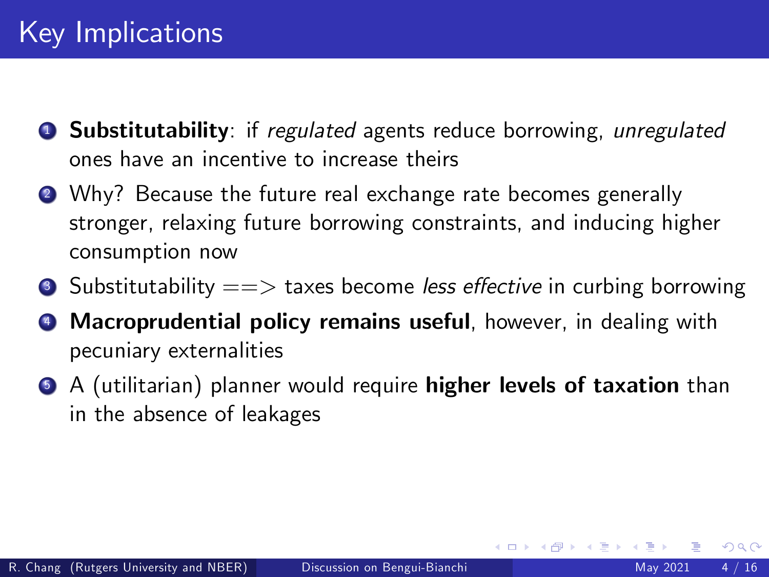- **1** Substitutability: if regulated agents reduce borrowing, unregulated ones have an incentive to increase theirs
- **2** Why? Because the future real exchange rate becomes generally stronger, relaxing future borrowing constraints, and inducing higher consumption now
- $\bullet$  Substitutability  $=\gt$  taxes become less effective in curbing borrowing
- **4** Macroprudential policy remains useful, however, in dealing with pecuniary externalities
- **6** A (utilitarian) planner would require **higher levels of taxation** than in the absence of leakages

4 D F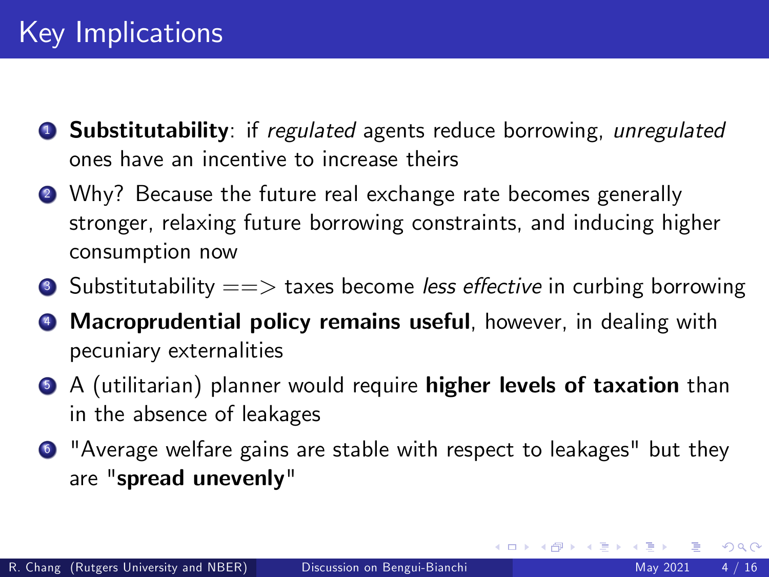- **1** Substitutability: if regulated agents reduce borrowing, unregulated ones have an incentive to increase theirs
- **2** Why? Because the future real exchange rate becomes generally stronger, relaxing future borrowing constraints, and inducing higher consumption now
- $\bullet$  Substitutability  $=\gt$  taxes become less effective in curbing borrowing
- **4** Macroprudential policy remains useful, however, in dealing with pecuniary externalities
- **6** A (utilitarian) planner would require **higher levels of taxation** than in the absence of leakages
- <sup>6</sup> "Average welfare gains are stable with respect to leakages" but they are "spread unevenly"

4 0 8

14 E X 4 E

 $QQ$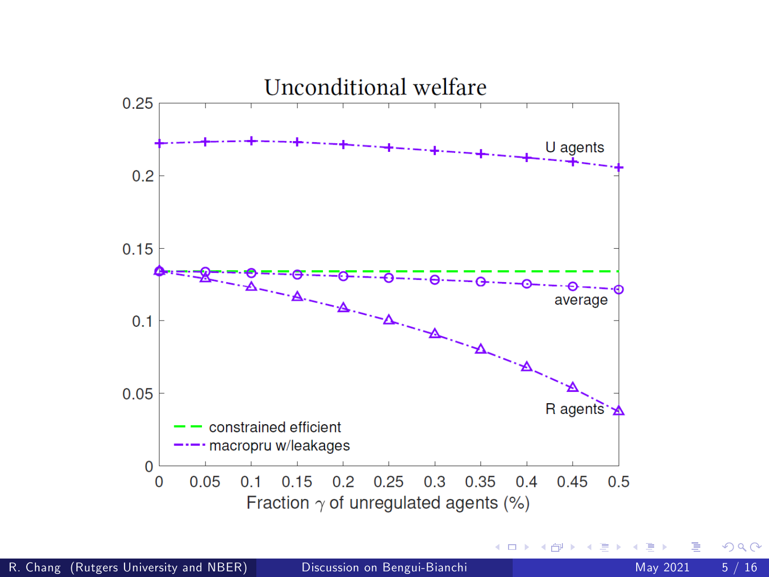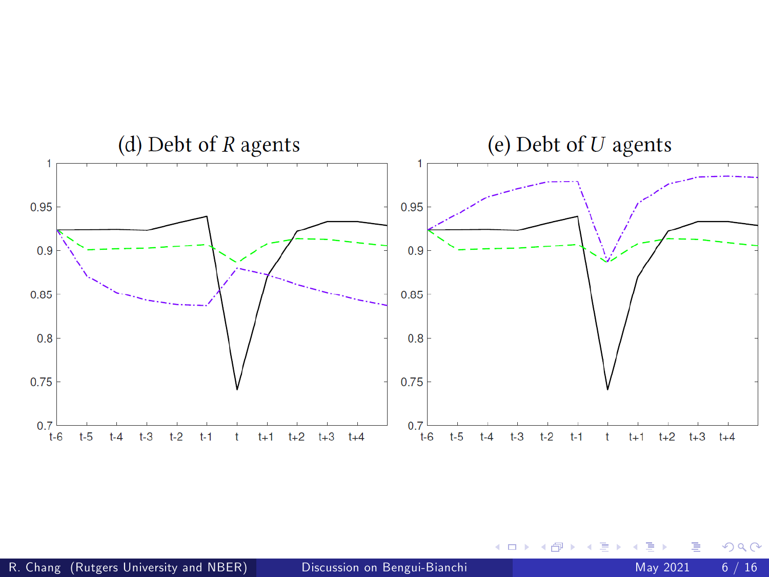

4 0 8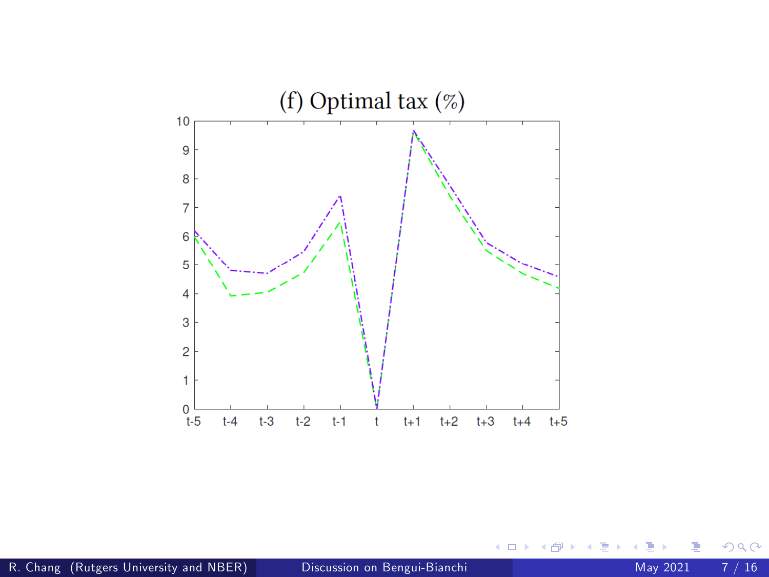

 $\leftarrow$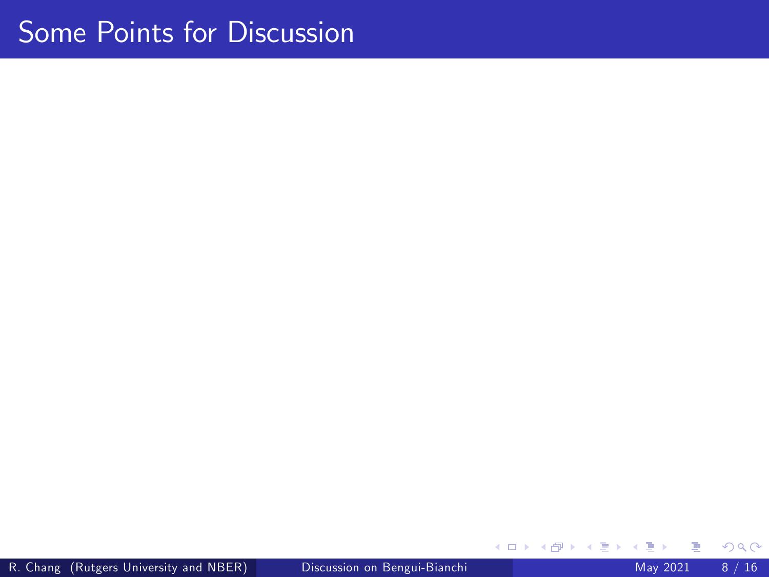# Some Points for Discussion

**∢ ロ ▶ イ 伊 ▶** 

∍  $\rightarrow$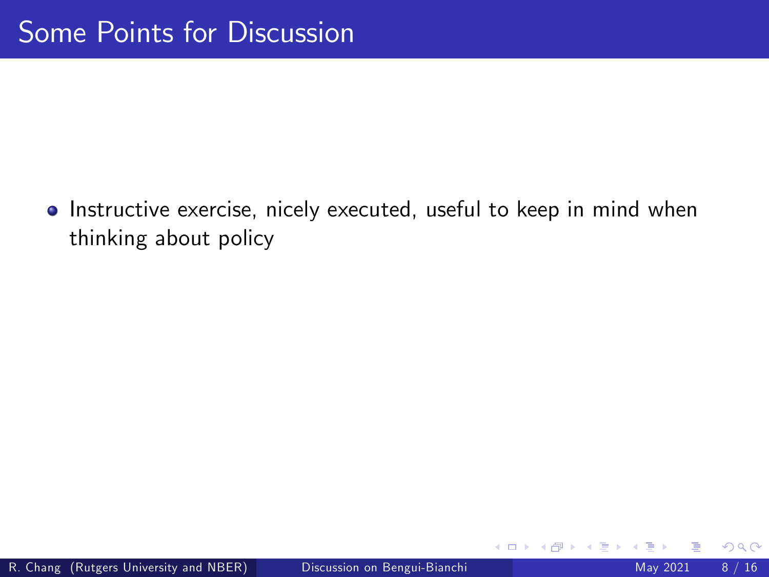**·** Instructive exercise, nicely executed, useful to keep in mind when thinking about policy

4 0 8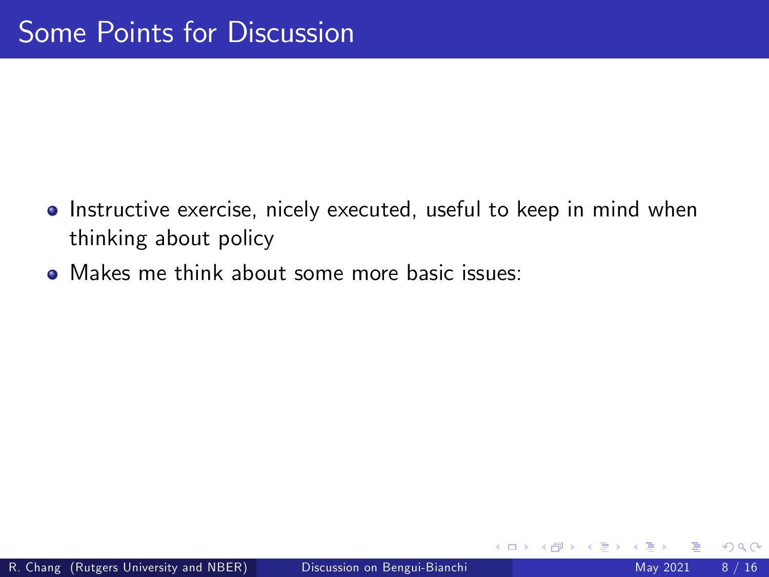- **.** Instructive exercise, nicely executed, useful to keep in mind when thinking about policy
- Makes me think about some more basic issues:

4 □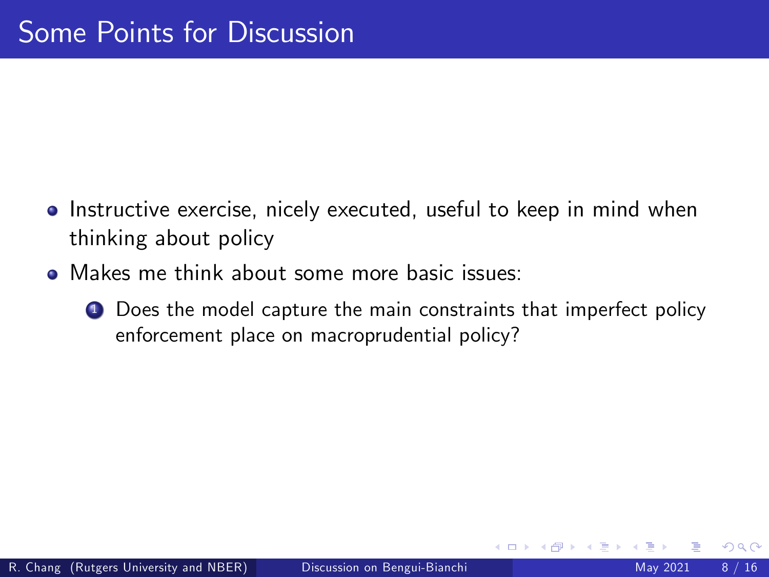- **•** Instructive exercise, nicely executed, useful to keep in mind when thinking about policy
- **•** Makes me think about some more basic issues:
	- **1** Does the model capture the main constraints that imperfect policy enforcement place on macroprudential policy?

 $\leftarrow$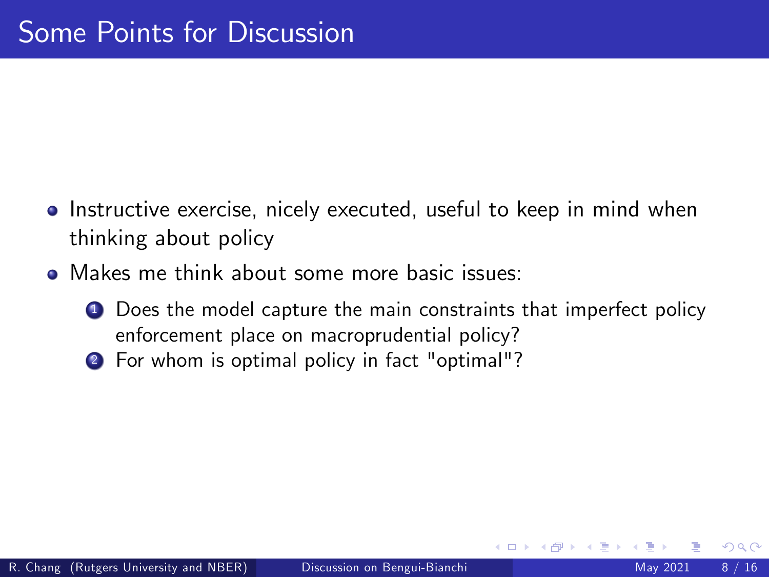- **•** Instructive exercise, nicely executed, useful to keep in mind when thinking about policy
- **•** Makes me think about some more basic issues:
	- **1** Does the model capture the main constraints that imperfect policy enforcement place on macroprudential policy?
	- 2 For whom is optimal policy in fact "optimal"?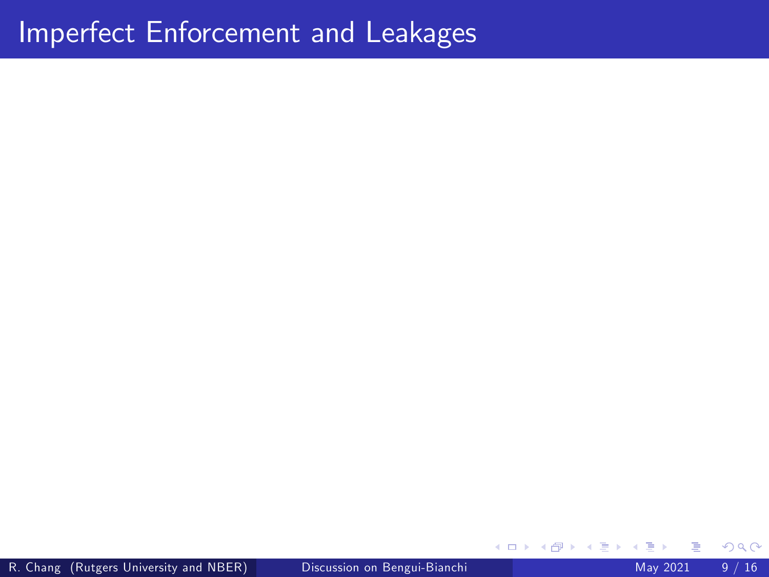×

**≮ロ ▶ (伊 )**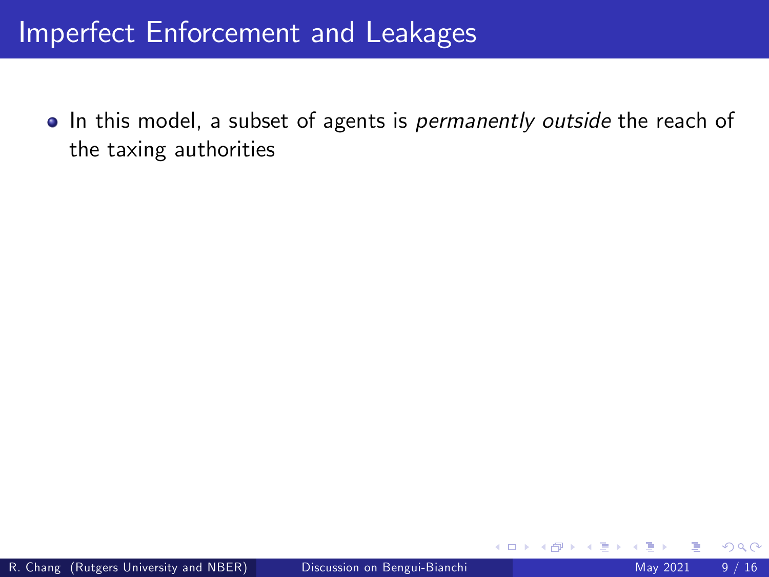• In this model, a subset of agents is *permanently outside* the reach of the taxing authorities

4 0 8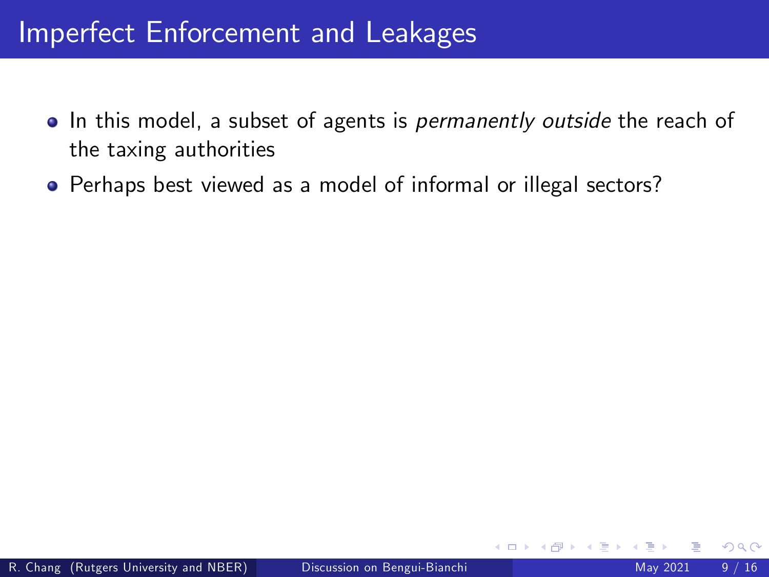- In this model, a subset of agents is *permanently outside* the reach of the taxing authorities
- Perhaps best viewed as a model of informal or illegal sectors?

4 0 8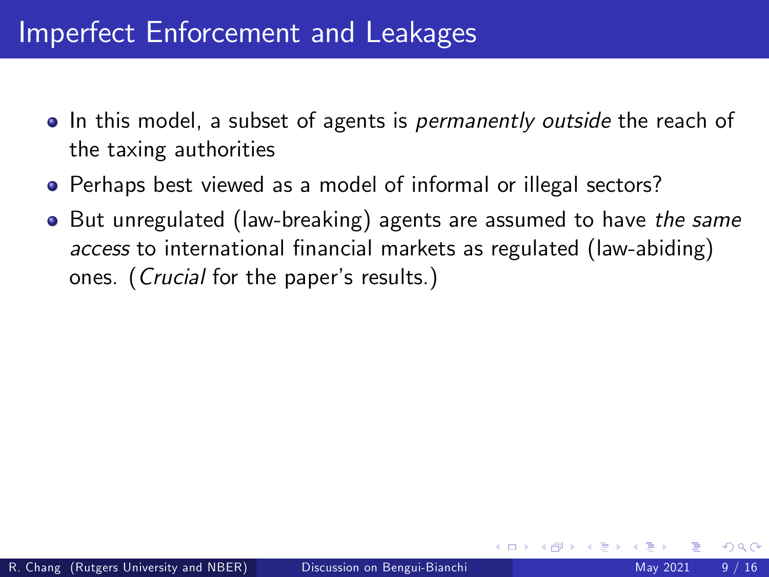- In this model, a subset of agents is *permanently outside* the reach of the taxing authorities
- Perhaps best viewed as a model of informal or illegal sectors?
- But unregulated (law-breaking) agents are assumed to have the same access to international financial markets as regulated (law-abiding) ones. (*Crucial* for the paper's results.)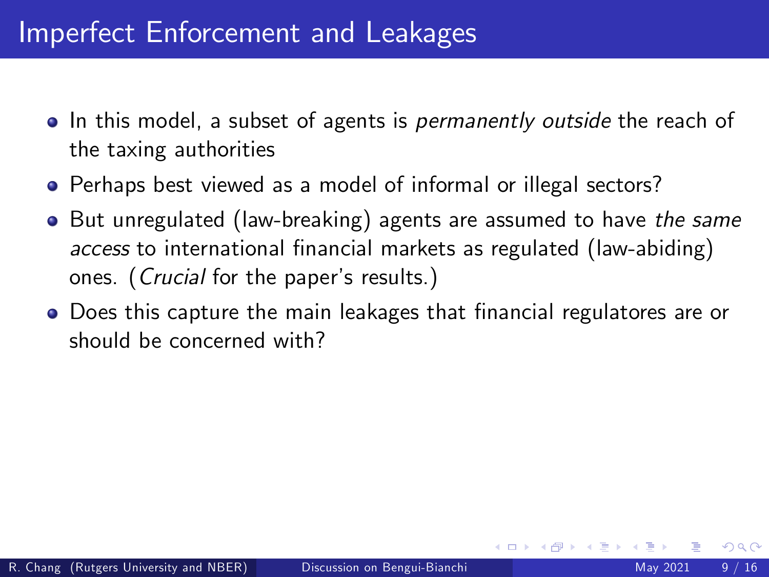- In this model, a subset of agents is *permanently outside* the reach of the taxing authorities
- Perhaps best viewed as a model of informal or illegal sectors?
- But unregulated (law-breaking) agents are assumed to have the same access to international financial markets as regulated (law-abiding) ones. (*Crucial* for the paper's results.)
- **•** Does this capture the main leakages that financial regulatores are or should be concerned with?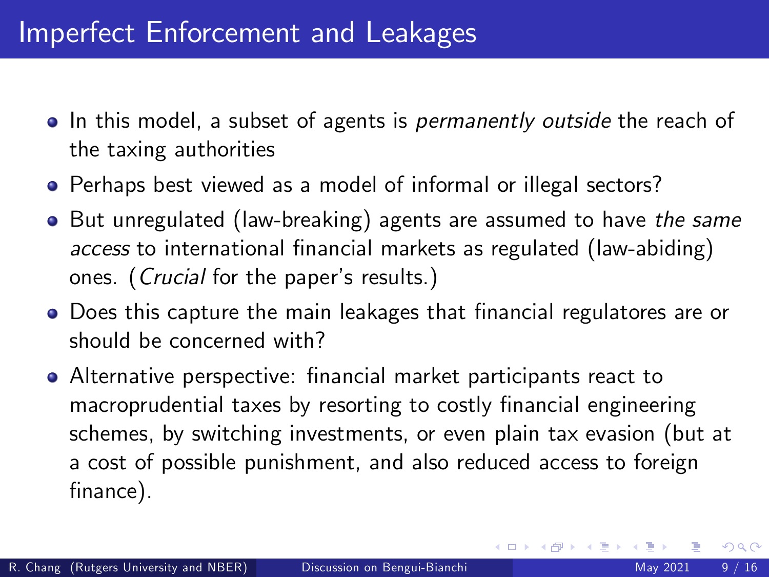- In this model, a subset of agents is *permanently outside* the reach of the taxing authorities
- Perhaps best viewed as a model of informal or illegal sectors?
- But unregulated (law-breaking) agents are assumed to have the same access to international financial markets as regulated (law-abiding) ones. (*Crucial* for the paper's results.)
- **•** Does this capture the main leakages that financial regulatores are or should be concerned with?
- **•** Alternative perspective: financial market participants react to macroprudential taxes by resorting to costly financial engineering schemes, by switching investments, or even plain tax evasion (but at a cost of possible punishment, and also reduced access to foreign finance).

4 D F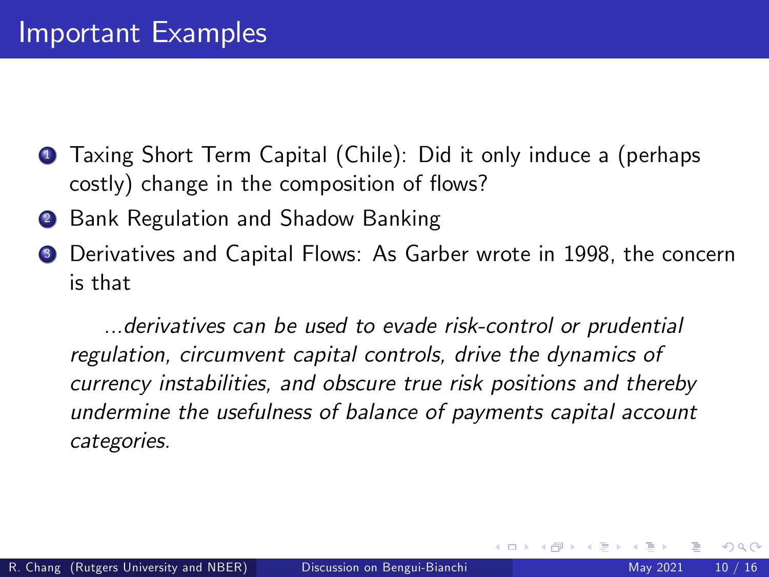- **1** Taxing Short Term Capital (Chile): Did it only induce a (perhaps costly) change in the composition of flows?
- 2 Bank Regulation and Shadow Banking
- Derivatives and Capital Flows: As Garber wrote in 1998, the concern is that

...derivatives can be used to evade risk-control or prudential regulation, circumvent capital controls, drive the dynamics of currency instabilities, and obscure true risk positions and thereby undermine the usefulness of balance of payments capital account categories.

4 D F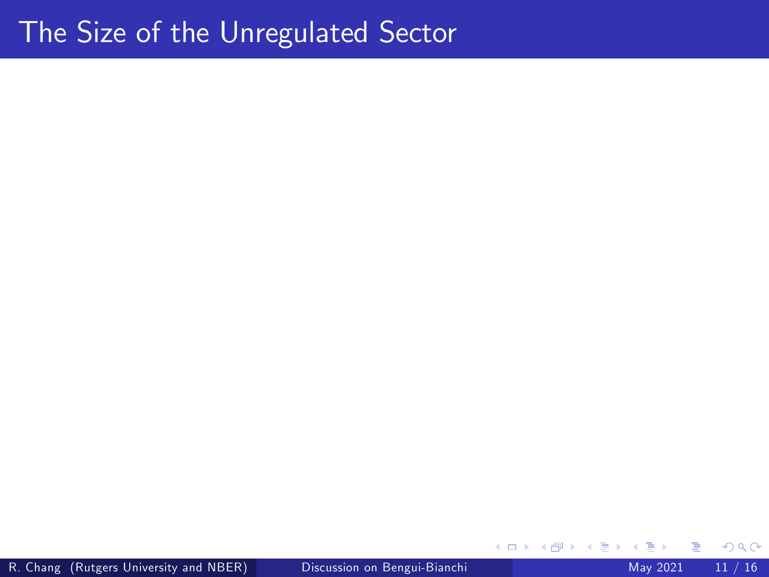R. Chang (Rutgers University and NBER) [Discussion on Bengui-Bianchi](#page-0-0) May 2021 11 / 16

 $\leftarrow$   $\Box$ 

∢母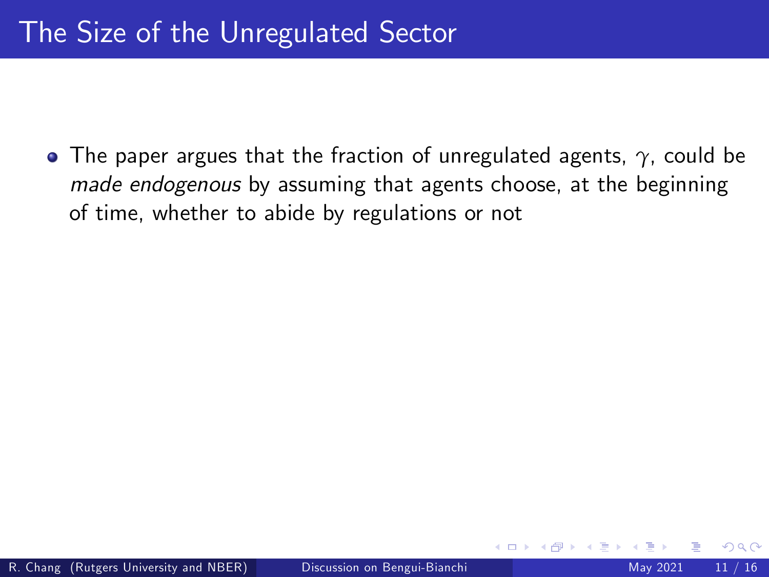The paper argues that the fraction of unregulated agents, *γ*, could be made endogenous by assuming that agents choose, at the beginning of time, whether to abide by regulations or not

4 D F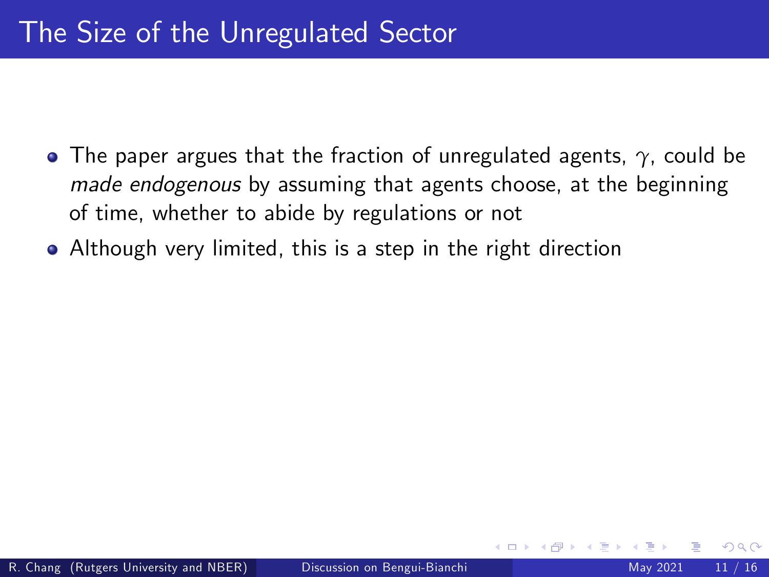- The paper argues that the fraction of unregulated agents, *γ*, could be made endogenous by assuming that agents choose, at the beginning of time, whether to abide by regulations or not
- Although very limited, this is a step in the right direction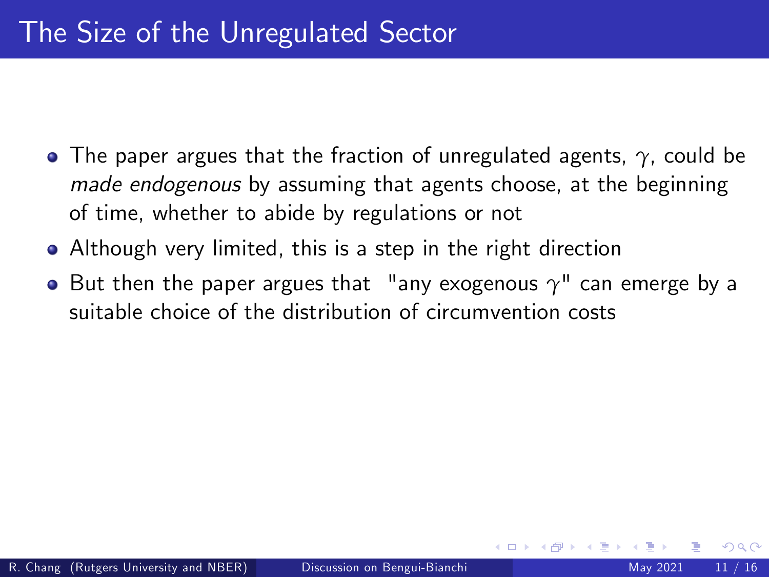- The paper argues that the fraction of unregulated agents, *γ*, could be made endogenous by assuming that agents choose, at the beginning of time, whether to abide by regulations or not
- Although very limited, this is a step in the right direction
- But then the paper argues that "any exogenous *γ*" can emerge by a suitable choice of the distribution of circumvention costs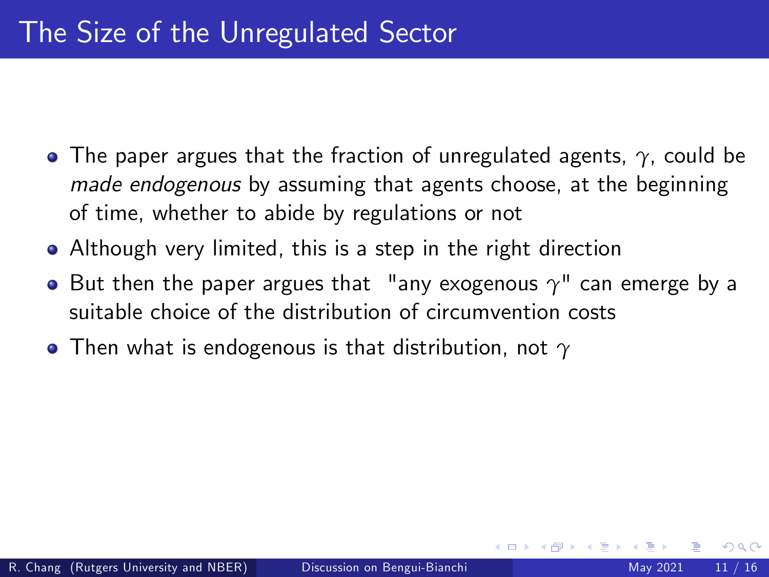- The paper argues that the fraction of unregulated agents, *γ*, could be made endogenous by assuming that agents choose, at the beginning of time, whether to abide by regulations or not
- Although very limited, this is a step in the right direction
- But then the paper argues that "any exogenous *γ*" can emerge by a suitable choice of the distribution of circumvention costs
- Then what is endogenous is that distribution, not *γ*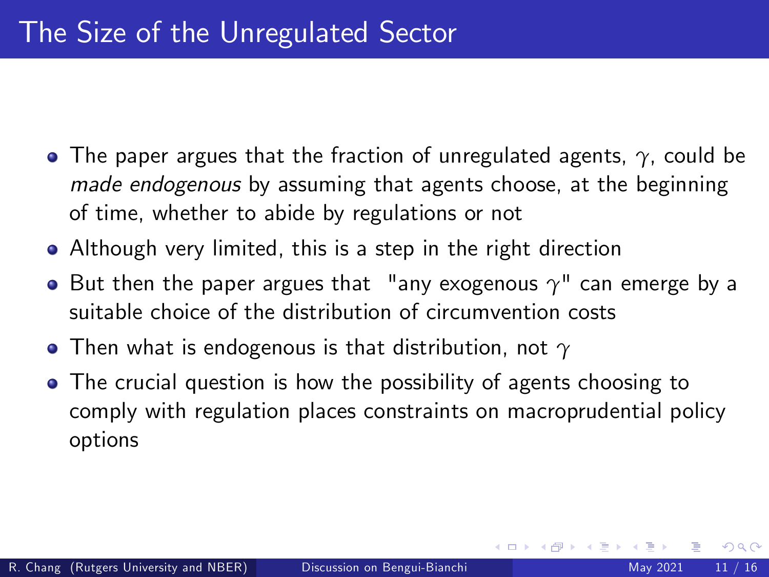- The paper argues that the fraction of unregulated agents, *γ*, could be made endogenous by assuming that agents choose, at the beginning of time, whether to abide by regulations or not
- Although very limited, this is a step in the right direction
- But then the paper argues that "any exogenous *γ*" can emerge by a suitable choice of the distribution of circumvention costs
- Then what is endogenous is that distribution, not *γ*
- The crucial question is how the possibility of agents choosing to comply with regulation places constraints on macroprudential policy options

4 D F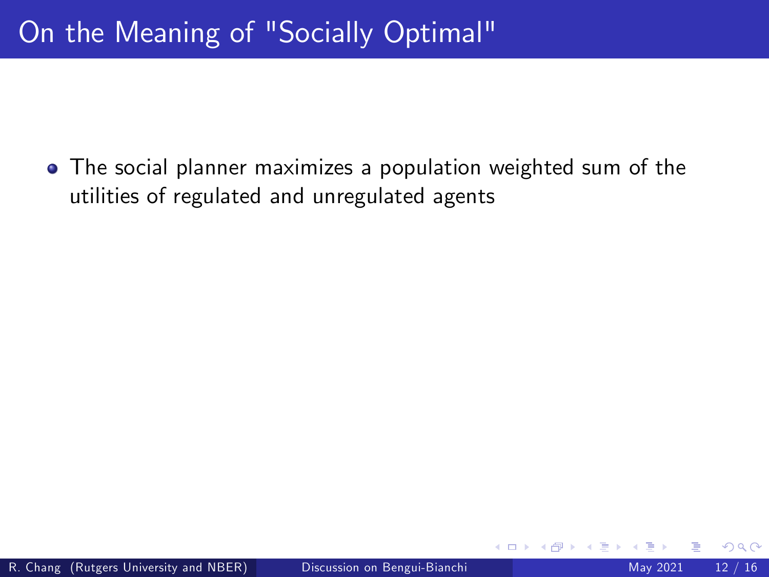The social planner maximizes a population weighted sum of the utilities of regulated and unregulated agents

4 0 8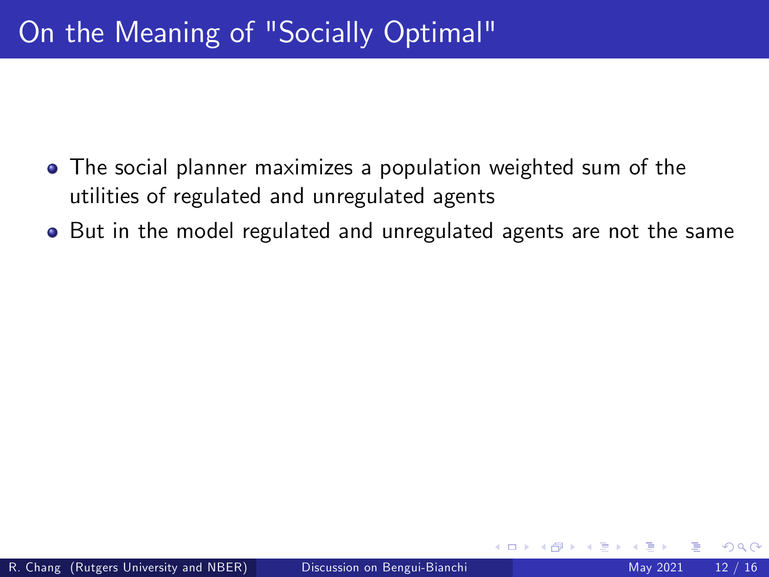- The social planner maximizes a population weighted sum of the utilities of regulated and unregulated agents
- But in the model regulated and unregulated agents are not the same

4 0 1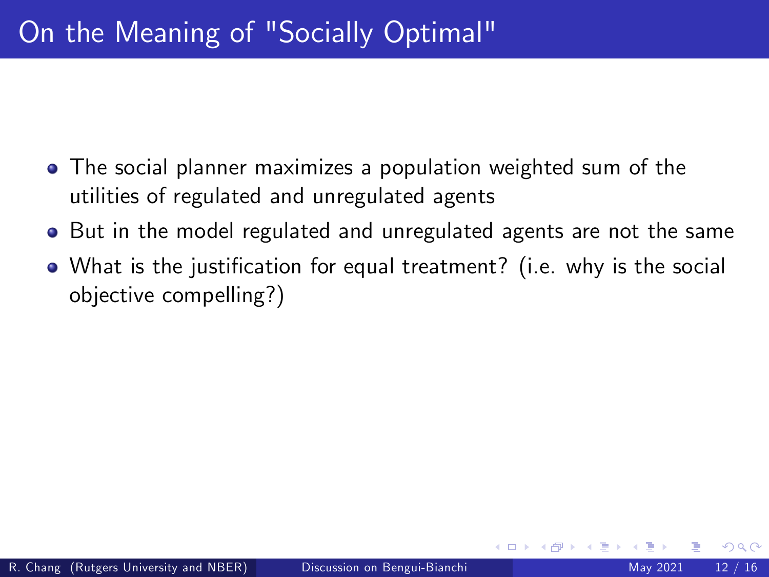- The social planner maximizes a population weighted sum of the utilities of regulated and unregulated agents
- But in the model regulated and unregulated agents are not the same
- What is the justification for equal treatment? (i.e. why is the social objective compelling?)

4 D F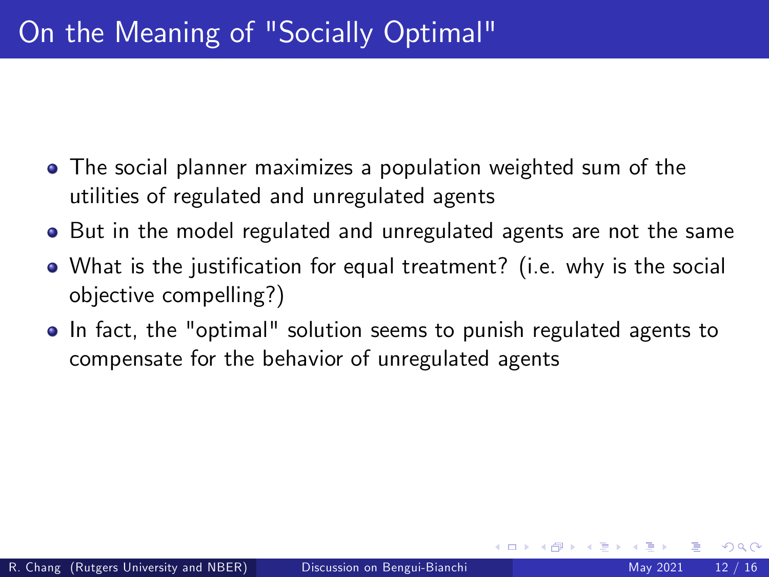- The social planner maximizes a population weighted sum of the utilities of regulated and unregulated agents
- But in the model regulated and unregulated agents are not the same
- What is the justification for equal treatment? (i.e. why is the social objective compelling?)
- In fact, the "optimal" solution seems to punish regulated agents to compensate for the behavior of unregulated agents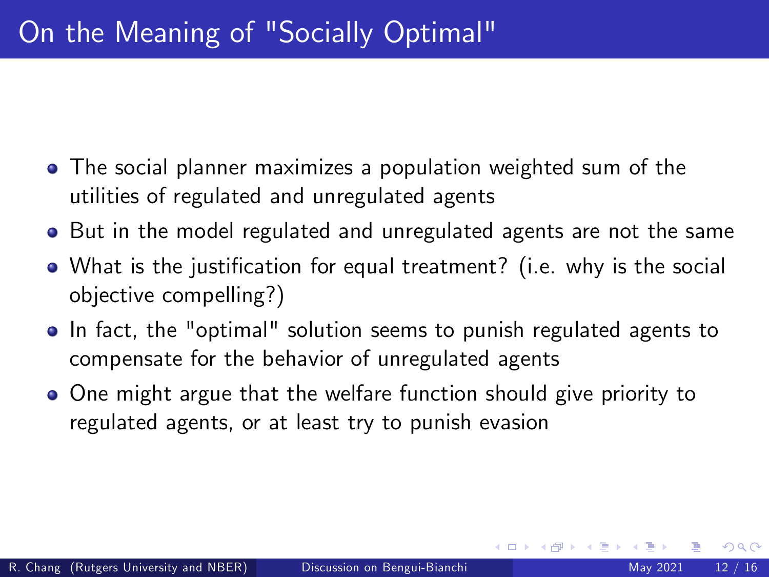- The social planner maximizes a population weighted sum of the utilities of regulated and unregulated agents
- But in the model regulated and unregulated agents are not the same
- What is the justification for equal treatment? (i.e. why is the social objective compelling?)
- In fact, the "optimal" solution seems to punish regulated agents to compensate for the behavior of unregulated agents
- One might argue that the welfare function should give priority to regulated agents, or at least try to punish evasion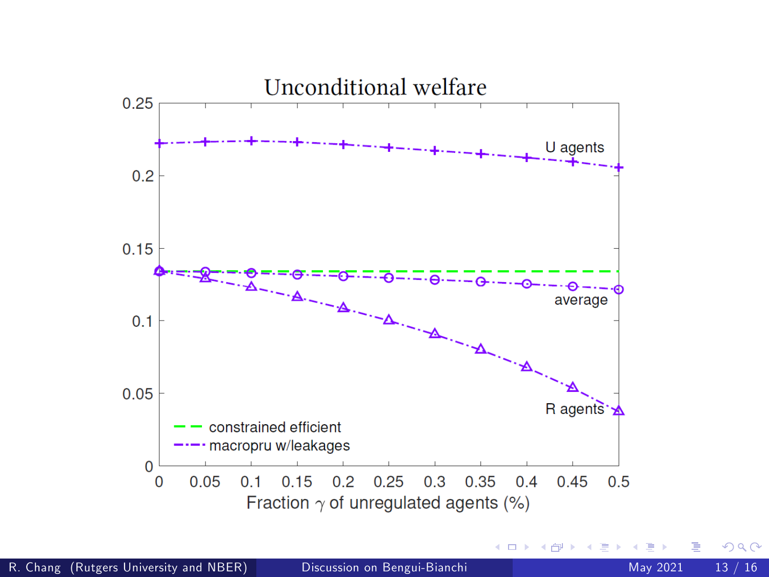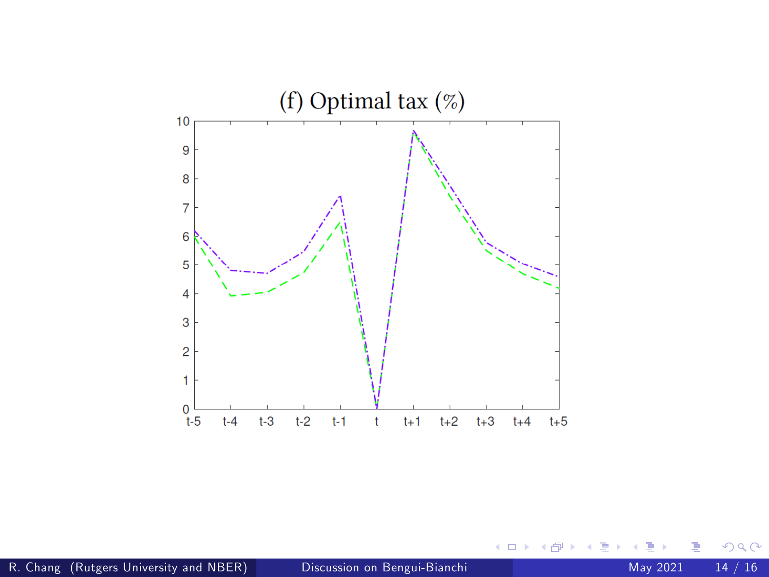

 $\leftarrow$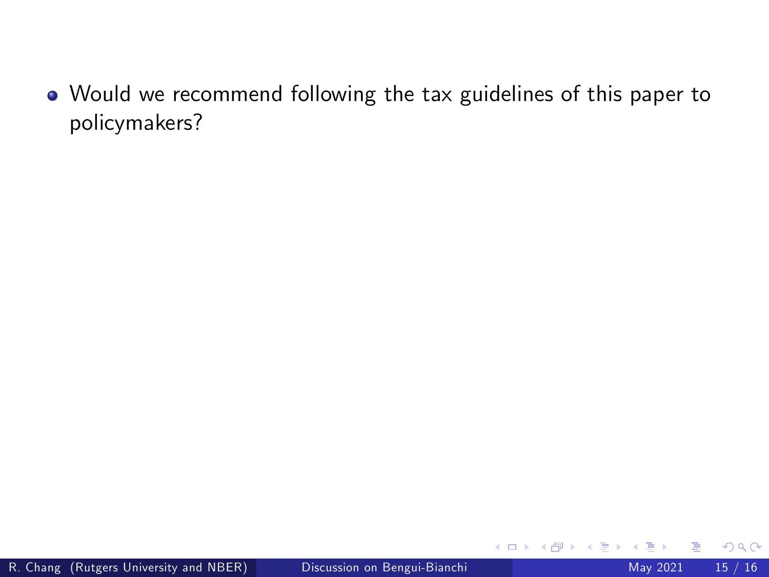Would we recommend following the tax guidelines of this paper to policymakers?

4 0 8 ∢ 母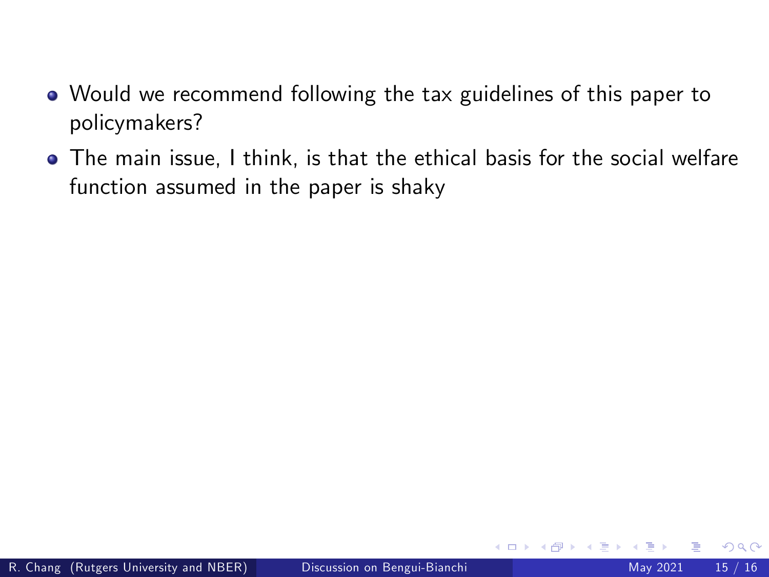- Would we recommend following the tax guidelines of this paper to policymakers?
- The main issue, I think, is that the ethical basis for the social welfare function assumed in the paper is shaky

4 0 8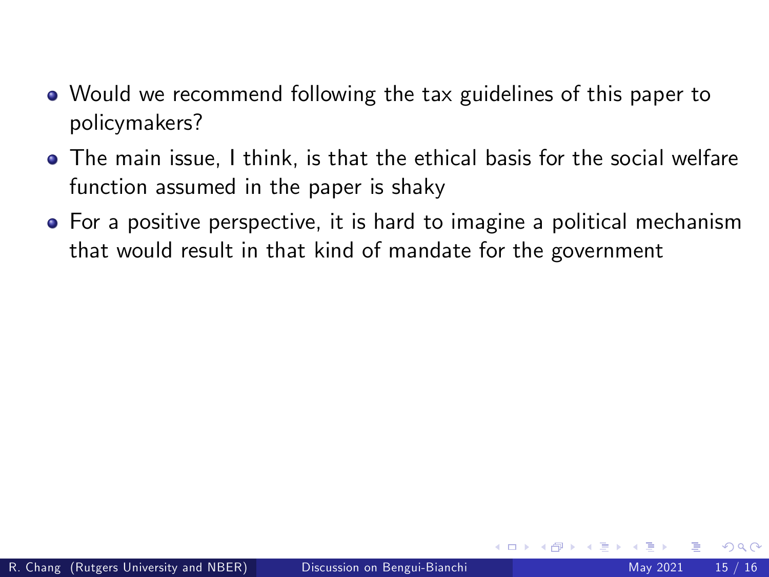- Would we recommend following the tax guidelines of this paper to policymakers?
- The main issue, I think, is that the ethical basis for the social welfare function assumed in the paper is shaky
- For a positive perspective, it is hard to imagine a political mechanism that would result in that kind of mandate for the government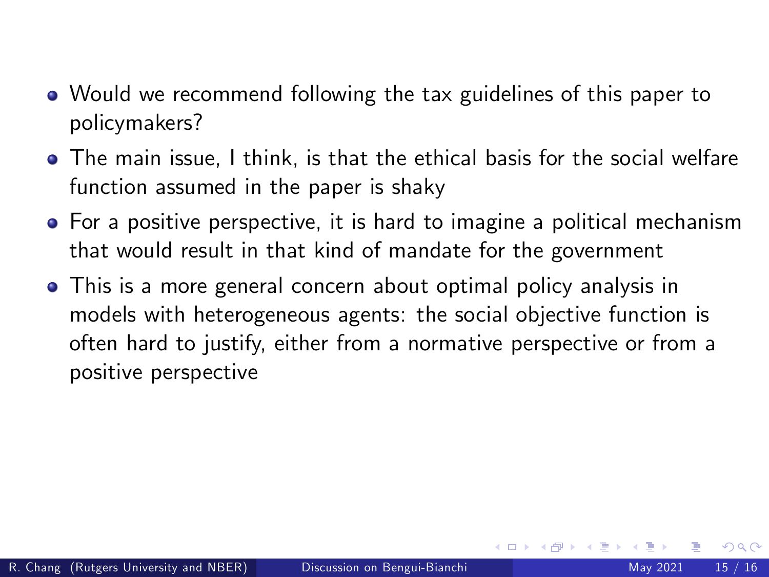- Would we recommend following the tax guidelines of this paper to policymakers?
- The main issue, I think, is that the ethical basis for the social welfare function assumed in the paper is shaky
- For a positive perspective, it is hard to imagine a political mechanism that would result in that kind of mandate for the government
- This is a more general concern about optimal policy analysis in models with heterogeneous agents: the social objective function is often hard to justify, either from a normative perspective or from a positive perspective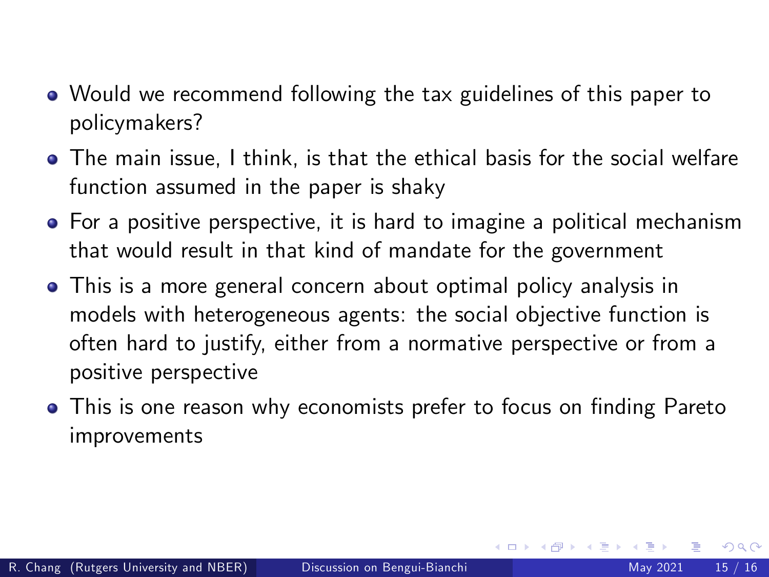- Would we recommend following the tax guidelines of this paper to policymakers?
- The main issue, I think, is that the ethical basis for the social welfare function assumed in the paper is shaky
- For a positive perspective, it is hard to imagine a political mechanism that would result in that kind of mandate for the government
- This is a more general concern about optimal policy analysis in models with heterogeneous agents: the social objective function is often hard to justify, either from a normative perspective or from a positive perspective
- This is one reason why economists prefer to focus on finding Pareto improvements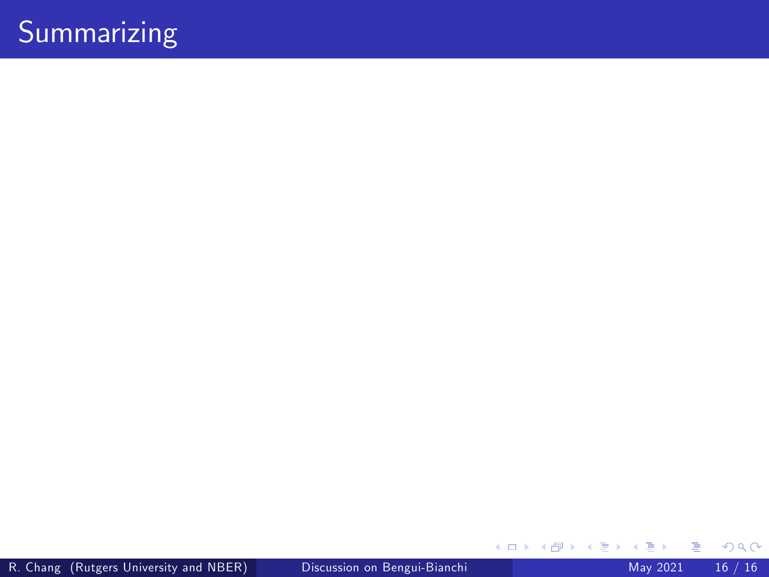# Summarizing

Þ þ.  $299$ 

イロト イ団ト イミト イ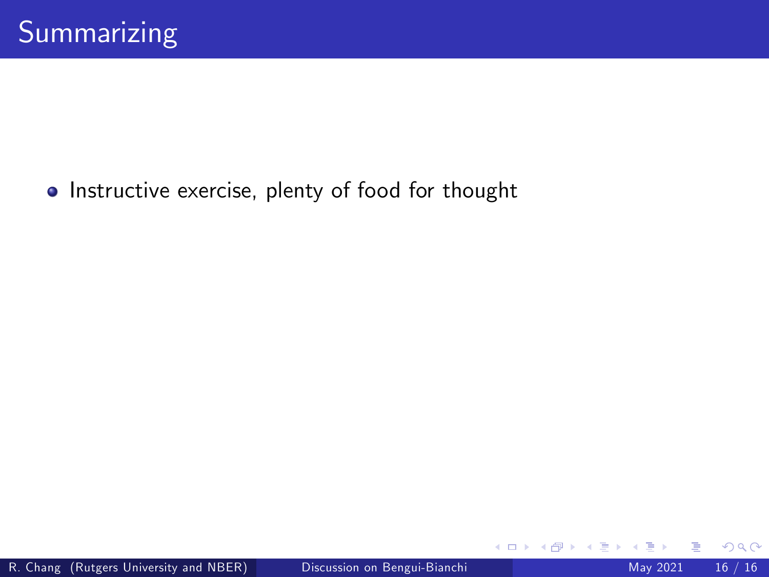• Instructive exercise, plenty of food for thought

4 日下

∢ 母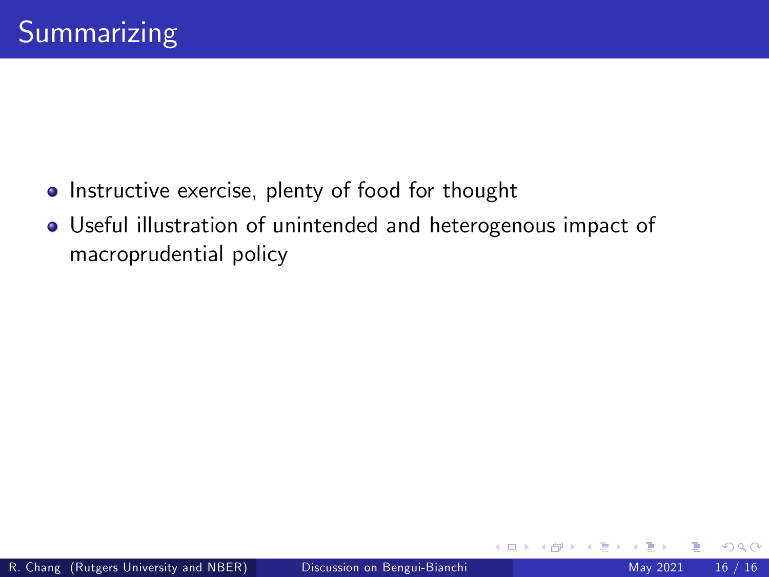- **•** Instructive exercise, plenty of food for thought
- Useful illustration of unintended and heterogenous impact of macroprudential policy

4 0 8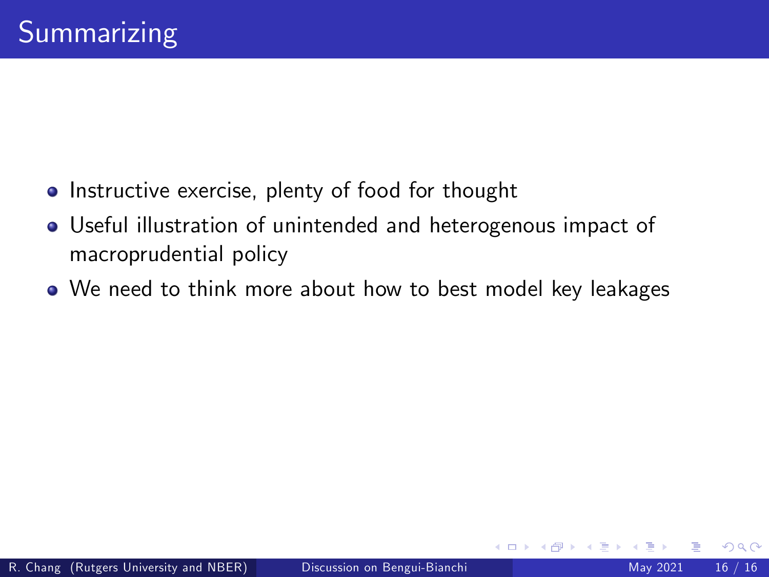- **•** Instructive exercise, plenty of food for thought
- Useful illustration of unintended and heterogenous impact of macroprudential policy
- We need to think more about how to best model key leakages

4 0 8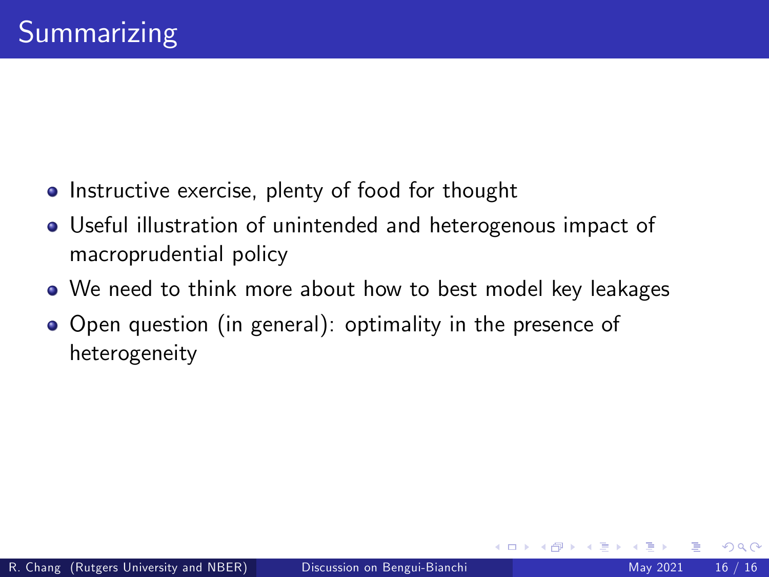- **•** Instructive exercise, plenty of food for thought
- Useful illustration of unintended and heterogenous impact of macroprudential policy
- We need to think more about how to best model key leakages

4 D F

 $\Omega$ 

• Open question (in general): optimality in the presence of heterogeneity